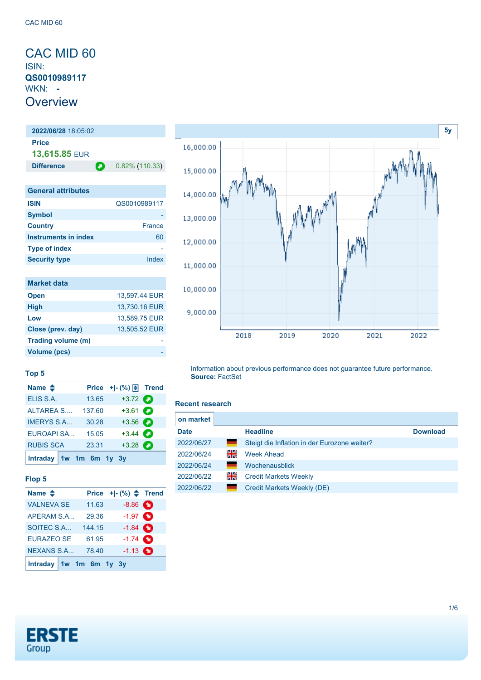## <span id="page-0-0"></span>CAC MID 60 ISIN: **QS0010989117** WKN: **- Overview**

### **2022/06/28** 18:05:02 **Price 13,615.85** EUR **Difference 0.82% (110.33)**

| <b>General attributes</b> |              |
|---------------------------|--------------|
| <b>ISIN</b>               | QS0010989117 |
| <b>Symbol</b>             |              |
| <b>Country</b>            | France       |
| Instruments in index      | 60           |
| <b>Type of index</b>      |              |
| <b>Security type</b>      | Index        |

| <b>Market data</b>  |               |
|---------------------|---------------|
| <b>Open</b>         | 13,597.44 EUR |
| <b>High</b>         | 13,730.16 EUR |
| Low                 | 13,589.75 EUR |
| Close (prev. day)   | 13,505.52 EUR |
| Trading volume (m)  |               |
| <b>Volume (pcs)</b> |               |



#### **Top 5**

| Name $\triangleq$       |        |                   |  |
|-------------------------|--------|-------------------|--|
| ELIS S.A.               | 13.65  | $+3.72$ $\bullet$ |  |
| <b>ALTAREA S</b>        | 137.60 | $+3.61$ $\Box$    |  |
| <b>IMERYS S.A</b>       | 30.28  | $+3.56$ $\bullet$ |  |
| <b>EUROAPI SA</b>       | 15.05  | $+3.44$           |  |
| <b>RUBIS SCA</b>        | 23.31  | $+3.28$ $\bullet$ |  |
| Intraday 1w 1m 6m 1y 3y |        |                   |  |

#### **Flop 5**

| Name $\triangle$        |        | Price $+[-(%) \triangleq$ Trend |  |
|-------------------------|--------|---------------------------------|--|
| <b>VALNEVA SE</b>       | 11.63  | $-8.86$ $\bullet$               |  |
| APERAM S.A              | 29.36  | $-1.97$ $\bullet$               |  |
| SOITEC S.A              | 144.15 | $-1.84$ $\bullet$               |  |
| <b>EURAZEO SE</b>       | 61.95  | $-1.74$ $\bullet$               |  |
| <b>NEXANS S.A</b>       | 78.40  | $-1.13$ $\bullet$               |  |
| Intraday 1w 1m 6m 1y 3y |        |                                 |  |

#### **Recent research**

**Source:** FactSet

| on market   |    |                                              |                 |
|-------------|----|----------------------------------------------|-----------------|
| <b>Date</b> |    | <b>Headline</b>                              | <b>Download</b> |
| 2022/06/27  | ╾  | Steigt die Inflation in der Eurozone weiter? |                 |
| 2022/06/24  | 꾉뚢 | <b>Week Ahead</b>                            |                 |
| 2022/06/24  |    | Wochenausblick                               |                 |
| 2022/06/22  | 꾉뚢 | <b>Credit Markets Weekly</b>                 |                 |
| 2022/06/22  |    | Credit Markets Weekly (DE)                   |                 |

Information about previous performance does not guarantee future performance.

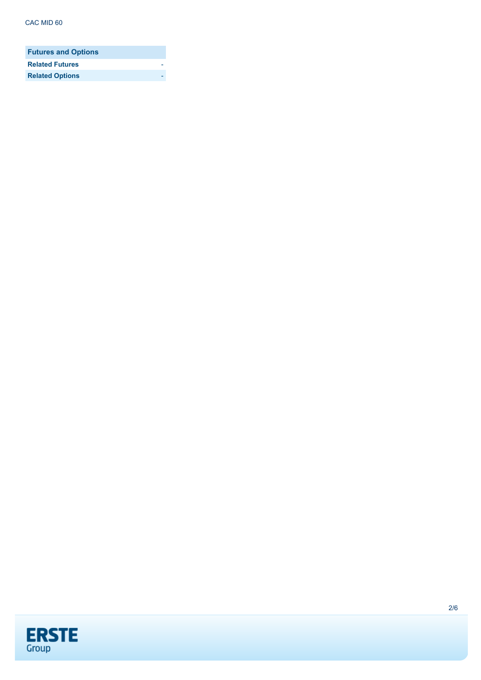| <b>Futures and Options</b> |  |
|----------------------------|--|
| <b>Related Futures</b>     |  |
| <b>Related Options</b>     |  |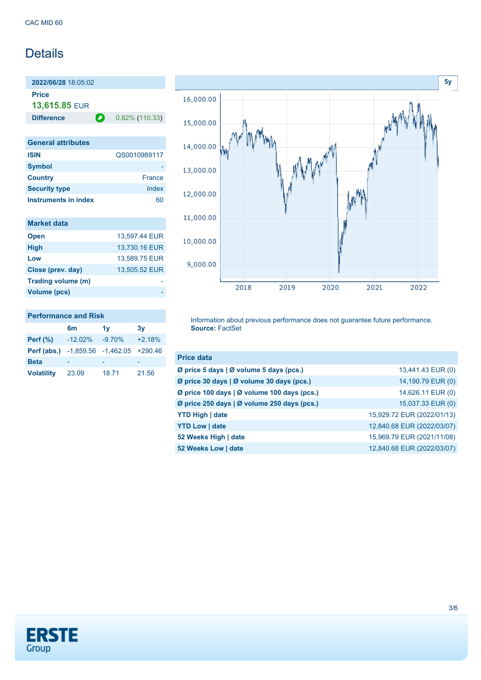## **Details**

**2022/06/28** 18:05:02 **Price**

**13,615.85** EUR

**Difference 0.82% (110.33)** 

| <b>General attributes</b> |               |
|---------------------------|---------------|
| <b>ISIN</b>               | QS0010989117  |
| <b>Symbol</b>             |               |
| <b>Country</b>            | <b>France</b> |
| <b>Security type</b>      | Index         |
| Instruments in index      |               |

| <b>Market data</b> |               |
|--------------------|---------------|
| <b>Open</b>        | 13.597.44 EUR |
| <b>High</b>        | 13,730.16 EUR |
| Low                | 13,589.75 EUR |
| Close (prev. day)  | 13,505.52 EUR |
| Trading volume (m) |               |
| Volume (pcs)       |               |



## **Performance and Risk**

|                                                      | 6 <sub>m</sub> | 1v       | 3v       |
|------------------------------------------------------|----------------|----------|----------|
| Perf $(\%)$                                          | $-12.02\%$     | $-9.70%$ | $+2.18%$ |
| <b>Perf (abs.)</b> $-1,859.56$ $-1,462.05$ $+290.46$ |                |          |          |
| <b>Beta</b>                                          |                |          |          |
| <b>Volatility</b>                                    | 23.09          | 18.71    | 21.56    |

Information about previous performance does not guarantee future performance. **Source:** FactSet

| <b>Price data</b>                           |                            |
|---------------------------------------------|----------------------------|
| Ø price 5 days   Ø volume 5 days (pcs.)     | 13,441.43 EUR (0)          |
| Ø price 30 days   Ø volume 30 days (pcs.)   | 14,190.79 EUR (0)          |
| Ø price 100 days   Ø volume 100 days (pcs.) | 14,626.11 EUR (0)          |
| Ø price 250 days   Ø volume 250 days (pcs.) | 15,037.33 EUR (0)          |
| <b>YTD High   date</b>                      | 15,929.72 EUR (2022/01/13) |
| <b>YTD Low   date</b>                       | 12,840.68 EUR (2022/03/07) |
| 52 Weeks High   date                        | 15,969.79 EUR (2021/11/08) |
| 52 Weeks Low   date                         | 12,840.68 EUR (2022/03/07) |

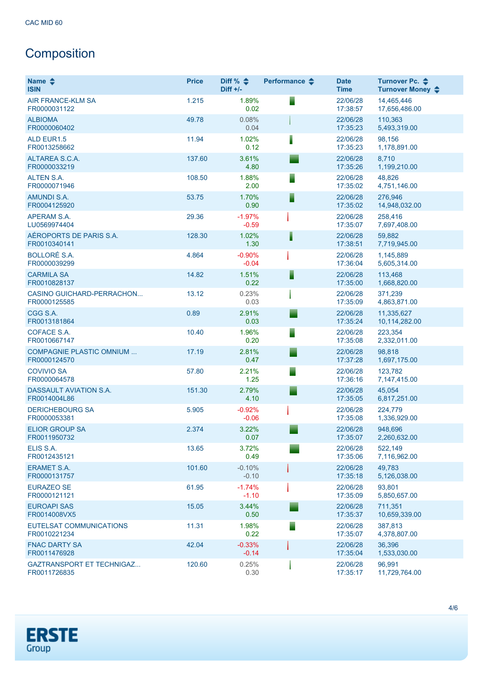# Composition

| Name $\triangle$<br><b>ISIN</b>                  | <b>Price</b> | Diff % $\triangleq$<br>$Diff +/-$ | Performance $\triangle$ | <b>Date</b><br><b>Time</b> | Turnover Pc. ♦<br>Turnover Money ♦ |
|--------------------------------------------------|--------------|-----------------------------------|-------------------------|----------------------------|------------------------------------|
| <b>AIR FRANCE-KLM SA</b><br>FR0000031122         | 1.215        | 1.89%<br>0.02                     | ▘                       | 22/06/28<br>17:38:57       | 14,465,446<br>17,656,486.00        |
| <b>ALBIOMA</b><br>FR0000060402                   | 49.78        | 0.08%<br>0.04                     |                         | 22/06/28<br>17:35:23       | 110,363<br>5,493,319.00            |
| <b>ALD EUR1.5</b><br>FR0013258662                | 11.94        | 1.02%<br>0.12                     | I                       | 22/06/28<br>17:35:23       | 98,156<br>1,178,891.00             |
| ALTAREA S.C.A.<br>FR0000033219                   | 137.60       | 3.61%<br>4.80                     |                         | 22/06/28<br>17:35:26       | 8,710<br>1,199,210.00              |
| <b>ALTEN S.A.</b><br>FR0000071946                | 108.50       | 1.88%<br>2.00                     | ▀                       | 22/06/28<br>17:35:02       | 48,826<br>4,751,146.00             |
| <b>AMUNDI S.A.</b><br>FR0004125920               | 53.75        | 1.70%<br>0.90                     | ⋾                       | 22/06/28<br>17:35:02       | 276,946<br>14,948,032.00           |
| APERAM S.A.<br>LU0569974404                      | 29.36        | $-1.97%$<br>$-0.59$               |                         | 22/06/28<br>17:35:07       | 258,416<br>7,697,408.00            |
| AÉROPORTS DE PARIS S.A.<br>FR0010340141          | 128.30       | 1.02%<br>1.30                     | ١                       | 22/06/28<br>17:38:51       | 59.882<br>7,719,945.00             |
| <b>BOLLORÉ S.A.</b><br>FR0000039299              | 4.864        | $-0.90%$<br>$-0.04$               |                         | 22/06/28<br>17:36:04       | 1,145,889<br>5,605,314.00          |
| <b>CARMILA SA</b><br>FR0010828137                | 14.82        | 1.51%<br>0.22                     | ▋                       | 22/06/28<br>17:35:00       | 113,468<br>1,668,820.00            |
| CASINO GUICHARD-PERRACHON<br>FR0000125585        | 13.12        | 0.23%<br>0.03                     |                         | 22/06/28<br>17:35:09       | 371,239<br>4,863,871.00            |
| CGG S.A.<br>FR0013181864                         | 0.89         | 2.91%<br>0.03                     |                         | 22/06/28<br>17:35:24       | 11,335,627<br>10,114,282.00        |
| COFACE S.A.<br>FR0010667147                      | 10.40        | 1.96%<br>0.20                     | ▀                       | 22/06/28<br>17:35:08       | 223,354<br>2,332,011.00            |
| <b>COMPAGNIE PLASTIC OMNIUM </b><br>FR0000124570 | 17.19        | 2.81%<br>0.47                     |                         | 22/06/28<br>17:37:28       | 98,818<br>1,697,175.00             |
| <b>COVIVIO SA</b><br>FR0000064578                | 57.80        | 2.21%<br>1.25                     | ▘                       | 22/06/28<br>17:36:16       | 123,782<br>7,147,415.00            |
| DASSAULT AVIATION S.A.<br>FR0014004L86           | 151.30       | 2.79%<br>4.10                     |                         | 22/06/28<br>17:35:05       | 45,054<br>6,817,251.00             |
| <b>DERICHEBOURG SA</b><br>FR0000053381           | 5.905        | $-0.92%$<br>$-0.06$               |                         | 22/06/28<br>17:35:08       | 224.779<br>1,336,929.00            |
| <b>ELIOR GROUP SA</b><br>FR0011950732            | 2.374        | 3.22%<br>0.07                     |                         | 22/06/28<br>17:35:07       | 948,696<br>2,260,632.00            |
| ELIS S.A.<br>FR0012435121                        | 13.65        | 3.72%<br>0.49                     |                         | 22/06/28<br>17:35:06       | 522,149<br>7,116,962.00            |
| <b>ERAMET S.A.</b><br>FR0000131757               | 101.60       | $-0.10%$<br>$-0.10$               |                         | 22/06/28<br>17:35:18       | 49,783<br>5,126,038.00             |
| <b>EURAZEO SE</b><br>FR0000121121                | 61.95        | $-1.74%$<br>$-1.10$               |                         | 22/06/28<br>17:35:09       | 93,801<br>5,850,657.00             |
| <b>EUROAPI SAS</b><br>FR0014008VX5               | 15.05        | 3.44%<br>0.50                     |                         | 22/06/28<br>17:35:37       | 711,351<br>10,659,339.00           |
| <b>EUTELSAT COMMUNICATIONS</b><br>FR0010221234   | 11.31        | 1.98%<br>0.22                     | ▀                       | 22/06/28<br>17:35:07       | 387,813<br>4,378,807.00            |
| <b>FNAC DARTY SA</b><br>FR0011476928             | 42.04        | $-0.33%$<br>$-0.14$               |                         | 22/06/28<br>17:35:04       | 36,396<br>1,533,030.00             |
| <b>GAZTRANSPORT ET TECHNIGAZ</b><br>FR0011726835 | 120.60       | 0.25%<br>0.30                     |                         | 22/06/28<br>17:35:17       | 96,991<br>11,729,764.00            |

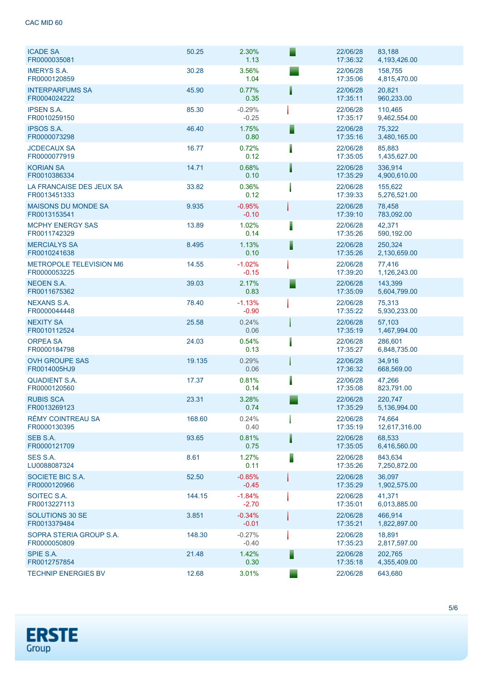| <b>ICADE SA</b><br>FR0000035081                | 50.25  | 2.30%<br>1.13       | Е | 22/06/28<br>17:36:32 | 83,188<br>4,193,426.00  |
|------------------------------------------------|--------|---------------------|---|----------------------|-------------------------|
| <b>IMERYS S.A.</b><br>FR0000120859             | 30.28  | 3.56%<br>1.04       |   | 22/06/28<br>17:35:06 | 158,755<br>4,815,470.00 |
| <b>INTERPARFUMS SA</b><br>FR0004024222         | 45.90  | 0.77%<br>0.35       |   | 22/06/28<br>17:35:11 | 20,821<br>960,233.00    |
| <b>IPSEN S.A.</b><br>FR0010259150              | 85.30  | $-0.29%$<br>$-0.25$ |   | 22/06/28<br>17:35:17 | 110,465<br>9,462,554.00 |
| <b>IPSOS S.A.</b><br>FR0000073298              | 46.40  | 1.75%<br>0.80       | Ē | 22/06/28<br>17:35:16 | 75,322<br>3,480,165.00  |
| <b>JCDECAUX SA</b><br>FR0000077919             | 16.77  | 0.72%<br>0.12       |   | 22/06/28<br>17:35:05 | 85,883<br>1,435,627.00  |
| <b>KORIAN SA</b><br>FR0010386334               | 14.71  | 0.68%<br>0.10       |   | 22/06/28<br>17:35:29 | 336,914<br>4,900,610.00 |
| LA FRANCAISE DES JEUX SA<br>FR0013451333       | 33.82  | 0.36%<br>0.12       |   | 22/06/28<br>17:39:33 | 155,622<br>5,276,521.00 |
| <b>MAISONS DU MONDE SA</b><br>FR0013153541     | 9.935  | $-0.95%$<br>$-0.10$ |   | 22/06/28<br>17:39:10 | 78,458<br>783,092.00    |
| <b>MCPHY ENERGY SAS</b><br>FR0011742329        | 13.89  | 1.02%<br>0.14       |   | 22/06/28<br>17:35:26 | 42,371<br>590,192.00    |
| <b>MERCIALYS SA</b><br>FR0010241638            | 8.495  | 1.13%<br>0.10       | ▌ | 22/06/28<br>17:35:26 | 250,324<br>2,130,659.00 |
| <b>METROPOLE TELEVISION M6</b><br>FR0000053225 | 14.55  | $-1.02%$<br>$-0.15$ |   | 22/06/28<br>17:39:20 | 77,416<br>1,126,243.00  |
| <b>NEOEN S.A.</b><br>FR0011675362              | 39.03  | 2.17%<br>0.83       | ≣ | 22/06/28<br>17:35:09 | 143,399<br>5,604,799.00 |
| <b>NEXANS S.A.</b><br>FR0000044448             | 78.40  | $-1.13%$<br>$-0.90$ |   | 22/06/28<br>17:35:22 | 75,313<br>5,930,233.00  |
| <b>NEXITY SA</b><br>FR0010112524               | 25.58  | 0.24%<br>0.06       |   | 22/06/28<br>17:35:19 | 57,103<br>1,467,994.00  |
| <b>ORPEA SA</b><br>FR0000184798                | 24.03  | 0.54%<br>0.13       |   | 22/06/28<br>17:35:27 | 286,601<br>6,848,735.00 |
| <b>OVH GROUPE SAS</b><br>FR0014005HJ9          | 19.135 | 0.29%<br>0.06       |   | 22/06/28<br>17:36:32 | 34,916<br>668,569.00    |
| <b>QUADIENT S.A.</b><br>FR0000120560           | 17.37  | 0.81%<br>0.14       |   | 22/06/28<br>17:35:08 | 47,266<br>823,791.00    |
| <b>RUBIS SCA</b><br>FR0013269123               | 23.31  | 3.28%<br>0.74       |   | 22/06/28<br>17:35:29 | 220,747<br>5,136,994.00 |
| RÉMY COINTREAU SA<br>FR0000130395              | 168.60 | 0.24%<br>0.40       |   | 22/06/28<br>17:35:19 | 74,664<br>12,617,316.00 |
| SEB S.A.<br>FR0000121709                       | 93.65  | 0.81%<br>0.75       |   | 22/06/28<br>17:35:05 | 68,533<br>6,416,560.00  |
| SES S.A.<br>LU0088087324                       | 8.61   | 1.27%<br>0.11       | ▋ | 22/06/28<br>17:35:26 | 843,634<br>7,250,872.00 |
| SOCIETE BIC S.A.<br>FR0000120966               | 52.50  | $-0.85%$<br>$-0.45$ |   | 22/06/28<br>17:35:29 | 36.097<br>1,902,575.00  |
| SOITEC S.A.<br>FR0013227113                    | 144.15 | $-1.84%$<br>$-2.70$ |   | 22/06/28<br>17:35:01 | 41,371<br>6,013,885.00  |
| <b>SOLUTIONS 30 SE</b><br>FR0013379484         | 3.851  | $-0.34%$<br>$-0.01$ |   | 22/06/28<br>17:35:21 | 466,914<br>1,822,897.00 |
| SOPRA STERIA GROUP S.A.<br>FR0000050809        | 148.30 | $-0.27%$<br>$-0.40$ |   | 22/06/28<br>17:35:23 | 18,891<br>2,817,597.00  |
| SPIE S.A.<br>FR0012757854                      | 21.48  | 1.42%<br>0.30       |   | 22/06/28<br>17:35:18 | 202,765<br>4,355,409.00 |
| <b>TECHNIP ENERGIES BV</b>                     | 12.68  | 3.01%               |   | 22/06/28             | 643,680                 |